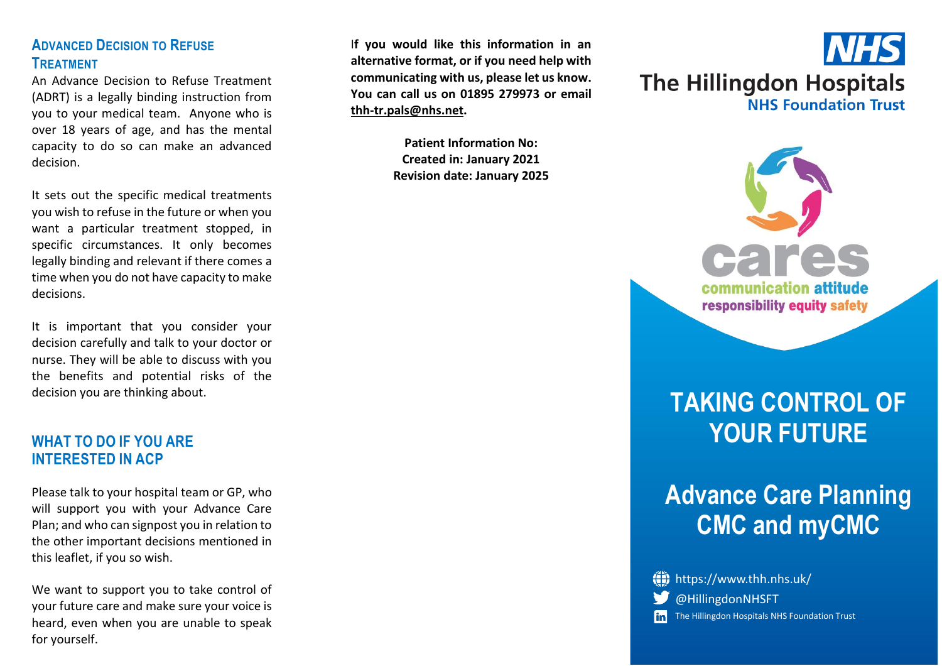#### **ADVANCED DECISION TO REFUSE TREATMENT**

An Advance Decision to Refuse Treatment (ADRT) is a legally binding instruction from you to your medical team. Anyone who is over 18 years of age, and has the mental capacity to do so can make an advanced decision.

It sets out the specific medical treatments you wish to refuse in the future or when you want a particular treatment stopped, in specific circumstances. It only becomes legally binding and relevant if there comes a time when you do not have capacity to make decisions.

It is important that you consider your decision carefully and talk to your doctor or nurse. They will be able to discuss with you the benefits and potential risks of the decision you are thinking about.

#### **WHAT TO DO IF YOU ARE INTERESTED IN ACP**

Please talk to your hospital team or GP, who will support you with your Advance Care Plan; and who can signpost you in relation to the other important decisions mentioned in this leaflet, if you so wish.

We want to support you to take control of your future care and make sure your voice is heard, even when you are unable to speak for yourself.

I**f you would like this information in an alternative format, or if you need help with communicating with us, please let us know. You can call us on 01895 279973 or email [thh-tr.pals@nhs.net.](mailto:thh-tr.pals@nhs.net)**

> **Patient Information No: Created in: January 2021 Revision date: January 2025**





# **TAKING CONTROL OF YOUR FUTURE**

# **Advance Care Planning CMC and myCMC**

| (iii) https://www.thh.nhs.uk/                    |
|--------------------------------------------------|
| <b>W</b> @HillingdonNHSFT                        |
| in The Hillingdon Hospitals NHS Foundation Trust |